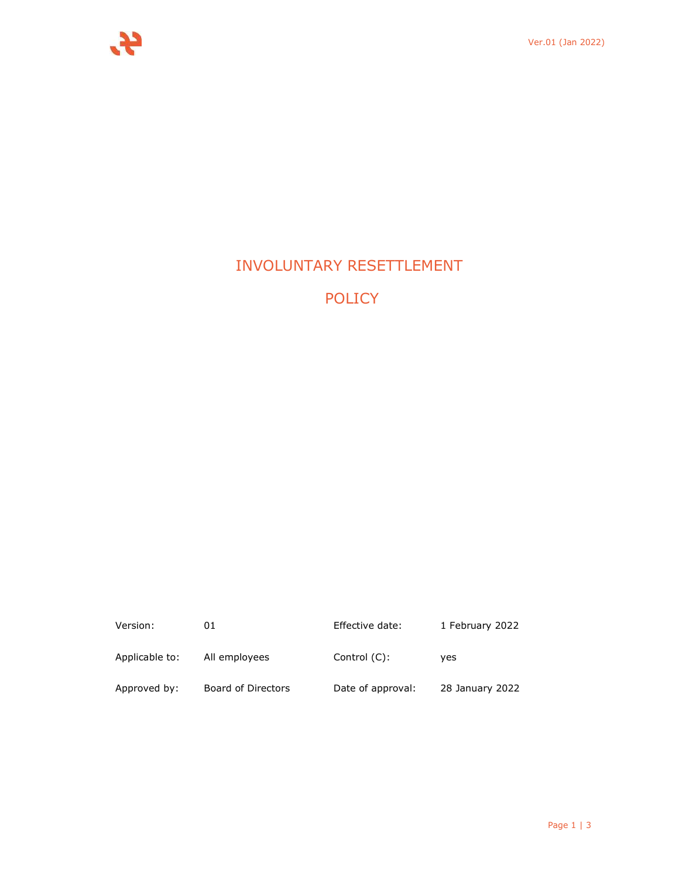

# INVOLUNTARY RESETTLEMENT

POLICY

| Version:       | 01                 | Effective date:   | 1 February 2022 |
|----------------|--------------------|-------------------|-----------------|
| Applicable to: | All employees      | Control $(C)$ :   | ves             |
| Approved by:   | Board of Directors | Date of approval: | 28 January 2022 |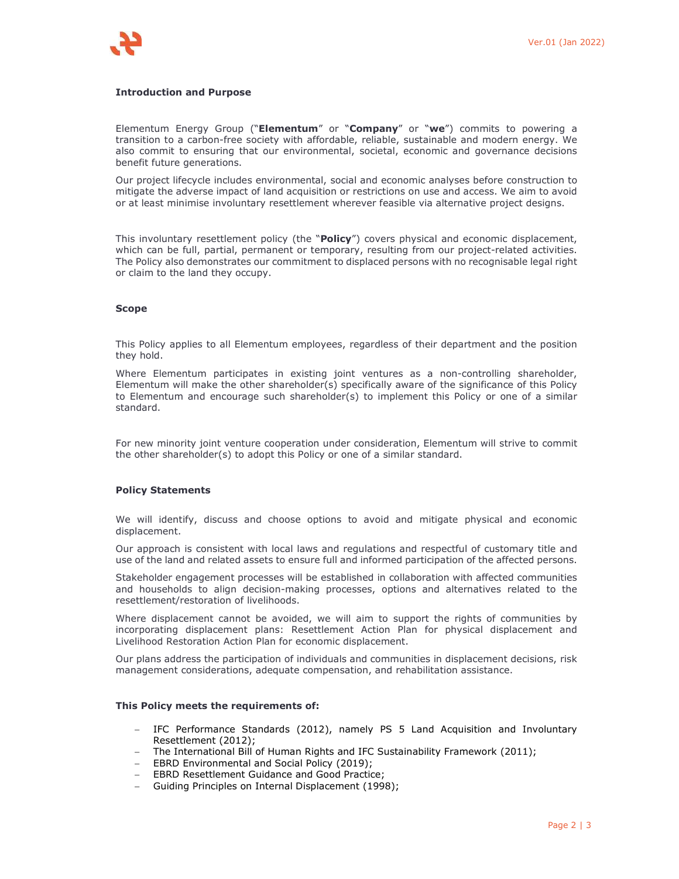

#### **Introduction and Purpose**

Elementum Energy Group ("**Elementum**" or "**Company**" or "**we**") commits to powering a transition to a carbon-free society with affordable, reliable, sustainable and modern energy. We also commit to ensuring that our environmental, societal, economic and governance decisions benefit future generations.

Our project lifecycle includes environmental, social and economic analyses before construction to mitigate the adverse impact of land acquisition or restrictions on use and access. We aim to avoid or at least minimise involuntary resettlement wherever feasible via alternative project designs.

This involuntary resettlement policy (the "**Policy**") covers physical and economic displacement, which can be full, partial, permanent or temporary, resulting from our project-related activities. The Policy also demonstrates our commitment to displaced persons with no recognisable legal right or claim to the land they occupy.

#### **Scope**

This Policy applies to all Elementum employees, regardless of their department and the position they hold.

Where Elementum participates in existing joint ventures as a non-controlling shareholder, Elementum will make the other shareholder(s) specifically aware of the significance of this Policy to Elementum and encourage such shareholder(s) to implement this Policy or one of a similar standard.

For new minority joint venture cooperation under consideration, Elementum will strive to commit the other shareholder(s) to adopt this Policy or one of a similar standard.

#### **Policy Statements**

We will identify, discuss and choose options to avoid and mitigate physical and economic displacement.

Our approach is consistent with local laws and regulations and respectful of customary title and use of the land and related assets to ensure full and informed participation of the affected persons.

Stakeholder engagement processes will be established in collaboration with affected communities and households to align decision-making processes, options and alternatives related to the resettlement/restoration of livelihoods.

Where displacement cannot be avoided, we will aim to support the rights of communities by incorporating displacement plans: Resettlement Action Plan for physical displacement and Livelihood Restoration Action Plan for economic displacement.

Our plans address the participation of individuals and communities in displacement decisions, risk management considerations, adequate compensation, and rehabilitation assistance.

#### **This Policy meets the requirements of:**

- IFC Performance Standards (2012), namely PS 5 Land Acquisition and Involuntary Resettlement (2012);
- The International Bill of Human Rights and IFC Sustainability Framework (2011);
- EBRD Environmental and Social Policy (2019);
- **EBRD Resettlement Guidance and Good Practice;**
- Guiding Principles on Internal Displacement (1998);